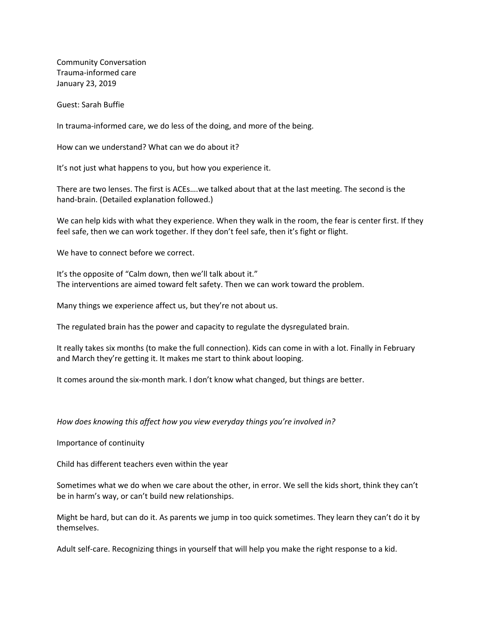Community Conversation Trauma-informed care January 23, 2019

Guest: Sarah Buffie

In trauma-informed care, we do less of the doing, and more of the being.

How can we understand? What can we do about it?

It's not just what happens to you, but how you experience it.

There are two lenses. The first is ACEs….we talked about that at the last meeting. The second is the hand-brain. (Detailed explanation followed.)

We can help kids with what they experience. When they walk in the room, the fear is center first. If they feel safe, then we can work together. If they don't feel safe, then it's fight or flight.

We have to connect before we correct.

It's the opposite of "Calm down, then we'll talk about it." The interventions are aimed toward felt safety. Then we can work toward the problem.

Many things we experience affect us, but they're not about us.

The regulated brain has the power and capacity to regulate the dysregulated brain.

It really takes six months (to make the full connection). Kids can come in with a lot. Finally in February and March they're getting it. It makes me start to think about looping.

It comes around the six-month mark. I don't know what changed, but things are better.

## *How does knowing this affect how you view everyday things you're involved in?*

Importance of continuity

Child has different teachers even within the year

Sometimes what we do when we care about the other, in error. We sell the kids short, think they can't be in harm's way, or can't build new relationships.

Might be hard, but can do it. As parents we jump in too quick sometimes. They learn they can't do it by themselves.

Adult self-care. Recognizing things in yourself that will help you make the right response to a kid.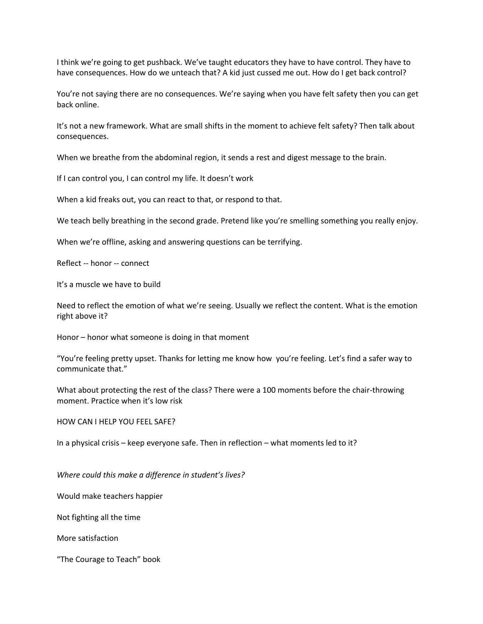I think we're going to get pushback. We've taught educators they have to have control. They have to have consequences. How do we unteach that? A kid just cussed me out. How do I get back control?

You're not saying there are no consequences. We're saying when you have felt safety then you can get back online.

It's not a new framework. What are small shifts in the moment to achieve felt safety? Then talk about consequences.

When we breathe from the abdominal region, it sends a rest and digest message to the brain.

If I can control you, I can control my life. It doesn't work

When a kid freaks out, you can react to that, or respond to that.

We teach belly breathing in the second grade. Pretend like you're smelling something you really enjoy.

When we're offline, asking and answering questions can be terrifying.

Reflect -- honor -- connect

It's a muscle we have to build

Need to reflect the emotion of what we're seeing. Usually we reflect the content. What is the emotion right above it?

Honor – honor what someone is doing in that moment

"You're feeling pretty upset. Thanks for letting me know how you're feeling. Let's find a safer way to communicate that."

What about protecting the rest of the class? There were a 100 moments before the chair-throwing moment. Practice when it's low risk

## HOW CAN I HELP YOU FEEL SAFE?

In a physical crisis – keep everyone safe. Then in reflection – what moments led to it?

*Where could this make a difference in student's lives?*

Would make teachers happier

Not fighting all the time

More satisfaction

"The Courage to Teach" book